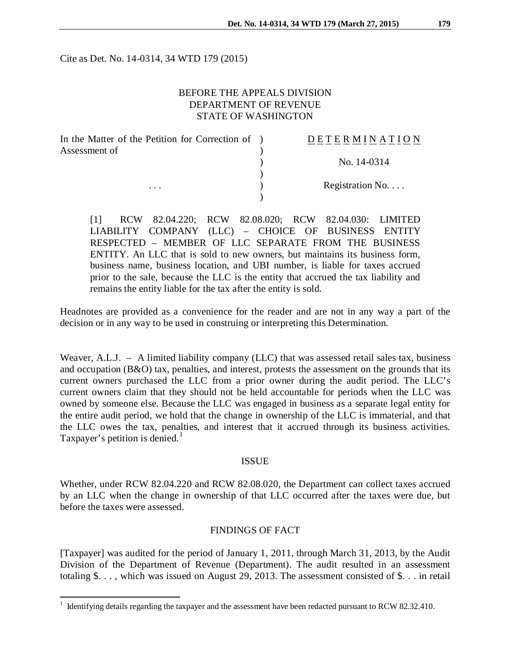Cite as Det. No. 14-0314, 34 WTD 179 (2015)

## BEFORE THE APPEALS DIVISION DEPARTMENT OF REVENUE STATE OF WASHINGTON

| In the Matter of the Petition for Correction of ) | DETERMINATION   |
|---------------------------------------------------|-----------------|
| Assessment of                                     |                 |
|                                                   | No. 14-0314     |
|                                                   |                 |
| $\cdots$                                          | Registration No |
|                                                   |                 |

[1] RCW 82.04.220; RCW 82.08.020; RCW 82.04.030: LIMITED LIABILITY COMPANY (LLC) – CHOICE OF BUSINESS ENTITY RESPECTED – MEMBER OF LLC SEPARATE FROM THE BUSINESS ENTITY. An LLC that is sold to new owners, but maintains its business form, business name, business location, and UBI number, is liable for taxes accrued prior to the sale, because the LLC is the entity that accrued the tax liability and remains the entity liable for the tax after the entity is sold.

Headnotes are provided as a convenience for the reader and are not in any way a part of the decision or in any way to be used in construing or interpreting this Determination.

Weaver, A.L.J. – A limited liability company (LLC) that was assessed retail sales tax, business and occupation (B&O) tax, penalties, and interest, protests the assessment on the grounds that its current owners purchased the LLC from a prior owner during the audit period. The LLC's current owners claim that they should not be held accountable for periods when the LLC was owned by someone else. Because the LLC was engaged in business as a separate legal entity for the entire audit period, we hold that the change in ownership of the LLC is immaterial, and that the LLC owes the tax, penalties, and interest that it accrued through its business activities. Taxpayer's petition is denied.<sup>[1](#page-0-0)</sup>

#### ISSUE

Whether, under RCW 82.04.220 and RCW 82.08.020, the Department can collect taxes accrued by an LLC when the change in ownership of that LLC occurred after the taxes were due, but before the taxes were assessed.

### FINDINGS OF FACT

[Taxpayer] was audited for the period of January 1, 2011, through March 31, 2013, by the Audit Division of the Department of Revenue (Department). The audit resulted in an assessment totaling \$. . . , which was issued on August 29, 2013. The assessment consisted of \$. . . in retail

<span id="page-0-0"></span> $1$  Identifying details regarding the taxpayer and the assessment have been redacted pursuant to RCW 82.32.410.  $\overline{a}$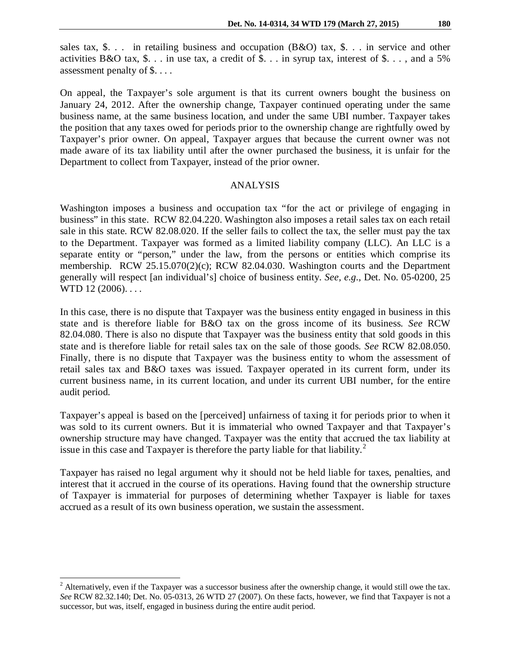sales tax, \$. . . in retailing business and occupation (B&O) tax, \$. . . in service and other activities B&O tax, \$. . . in use tax, a credit of \$. . . in syrup tax, interest of \$. . . , and a 5% assessment penalty of \$. . . .

On appeal, the Taxpayer's sole argument is that its current owners bought the business on January 24, 2012. After the ownership change, Taxpayer continued operating under the same business name, at the same business location, and under the same UBI number. Taxpayer takes the position that any taxes owed for periods prior to the ownership change are rightfully owed by Taxpayer's prior owner. On appeal, Taxpayer argues that because the current owner was not made aware of its tax liability until after the owner purchased the business, it is unfair for the Department to collect from Taxpayer, instead of the prior owner.

#### ANALYSIS

Washington imposes a business and occupation tax "for the act or privilege of engaging in business" in this state. RCW 82.04.220. Washington also imposes a retail sales tax on each retail sale in this state. RCW 82.08.020. If the seller fails to collect the tax, the seller must pay the tax to the Department. Taxpayer was formed as a limited liability company (LLC). An LLC is a separate entity or "person," under the law, from the persons or entities which comprise its membership. RCW 25.15.070(2)(c); RCW 82.04.030. Washington courts and the Department generally will respect [an individual's] choice of business entity. *See, e.g.,* Det. No. 05-0200, 25 WTD 12 (2006)....

In this case, there is no dispute that Taxpayer was the business entity engaged in business in this state and is therefore liable for B&O tax on the gross income of its business. *See* RCW 82.04.080. There is also no dispute that Taxpayer was the business entity that sold goods in this state and is therefore liable for retail sales tax on the sale of those goods. *See* RCW 82.08.050. Finally, there is no dispute that Taxpayer was the business entity to whom the assessment of retail sales tax and B&O taxes was issued. Taxpayer operated in its current form, under its current business name, in its current location, and under its current UBI number, for the entire audit period.

Taxpayer's appeal is based on the [perceived] unfairness of taxing it for periods prior to when it was sold to its current owners. But it is immaterial who owned Taxpayer and that Taxpayer's ownership structure may have changed. Taxpayer was the entity that accrued the tax liability at issue in this case and Taxpayer is therefore the party liable for that liability.<sup>[2](#page-1-0)</sup>

Taxpayer has raised no legal argument why it should not be held liable for taxes, penalties, and interest that it accrued in the course of its operations. Having found that the ownership structure of Taxpayer is immaterial for purposes of determining whether Taxpayer is liable for taxes accrued as a result of its own business operation, we sustain the assessment.

 $\overline{a}$ 

<span id="page-1-0"></span> $2$  Alternatively, even if the Taxpayer was a successor business after the ownership change, it would still owe the tax. *See* RCW 82.32.140; Det. No. 05-0313, 26 WTD 27 (2007). On these facts, however, we find that Taxpayer is not a successor, but was, itself, engaged in business during the entire audit period.